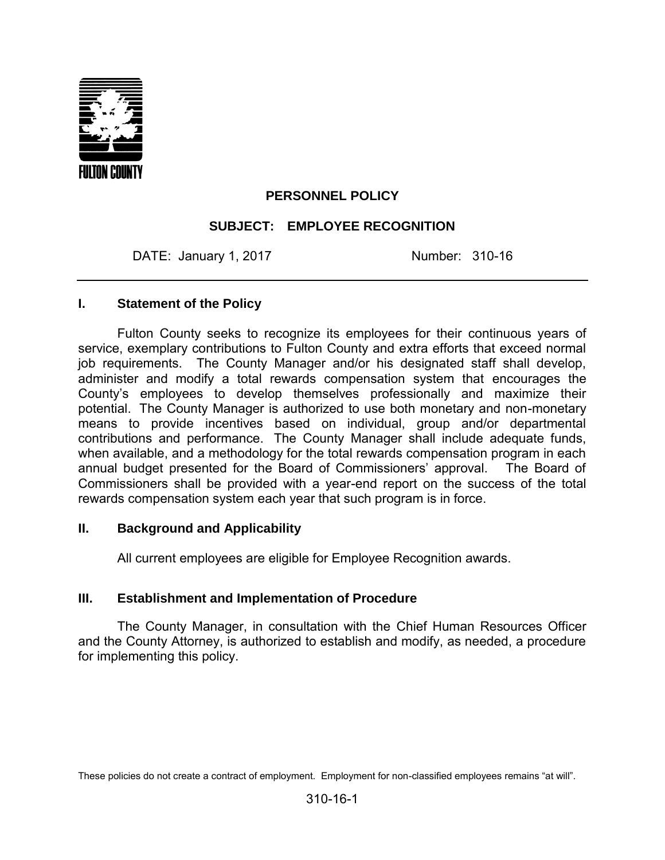

## **PERSONNEL POLICY**

## **SUBJECT: EMPLOYEE RECOGNITION**

DATE: January 1, 2017 Mumber: 310-16

#### **I. Statement of the Policy**

Fulton County seeks to recognize its employees for their continuous years of service, exemplary contributions to Fulton County and extra efforts that exceed normal job requirements.The County Manager and/or his designated staff shall develop, administer and modify a total rewards compensation system that encourages the County's employees to develop themselves professionally and maximize their potential. The County Manager is authorized to use both monetary and non-monetary means to provide incentives based on individual, group and/or departmental contributions and performance. The County Manager shall include adequate funds, when available, and a methodology for the total rewards compensation program in each annual budget presented for the Board of Commissioners' approval. The Board of Commissioners shall be provided with a year-end report on the success of the total rewards compensation system each year that such program is in force.

#### **II. Background and Applicability**

All current employees are eligible for Employee Recognition awards.

#### **III. Establishment and Implementation of Procedure**

The County Manager, in consultation with the Chief Human Resources Officer and the County Attorney, is authorized to establish and modify, as needed, a procedure for implementing this policy.

These policies do not create a contract of employment. Employment for non-classified employees remains "at will".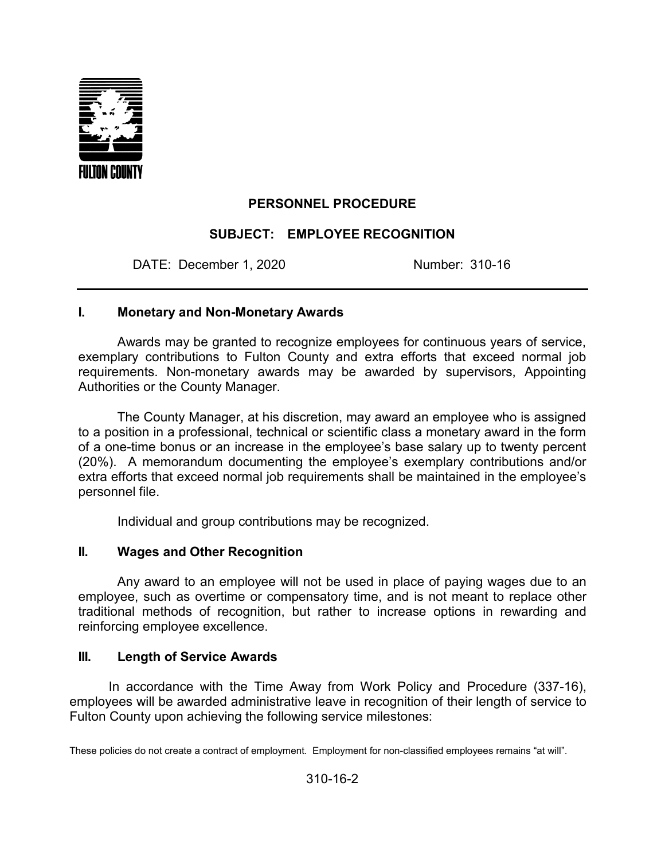

# **PERSONNEL PROCEDURE**

## **SUBJECT: EMPLOYEE RECOGNITION**

DATE: December 1, 2020 Number: 310-16

#### **I. Monetary and Non-Monetary Awards**

Awards may be granted to recognize employees for continuous years of service, exemplary contributions to Fulton County and extra efforts that exceed normal job requirements. Non-monetary awards may be awarded by supervisors, Appointing Authorities or the County Manager.

The County Manager, at his discretion, may award an employee who is assigned to a position in a professional, technical or scientific class a monetary award in the form of a one-time bonus or an increase in the employee's base salary up to twenty percent (20%). A memorandum documenting the employee's exemplary contributions and/or extra efforts that exceed normal job requirements shall be maintained in the employee's personnel file.

Individual and group contributions may be recognized.

## **II. Wages and Other Recognition**

Any award to an employee will not be used in place of paying wages due to an employee, such as overtime or compensatory time, and is not meant to replace other traditional methods of recognition, but rather to increase options in rewarding and reinforcing employee excellence.

## **III. Length of Service Awards**

In accordance with the Time Away from Work Policy and Procedure (337-16), employees will be awarded administrative leave in recognition of their length of service to Fulton County upon achieving the following service milestones:

These policies do not create a contract of employment. Employment for non-classified employees remains "at will".